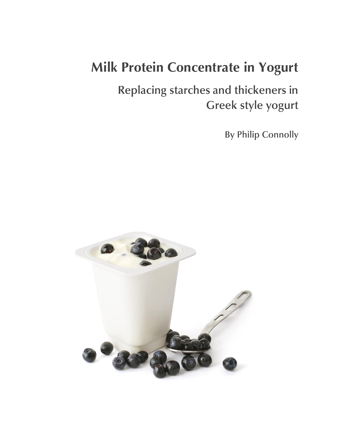# **Milk Protein Concentrate in Yogurt**

Replacing starches and thickeners in Greek style yogurt

**By Philip Connolly** 

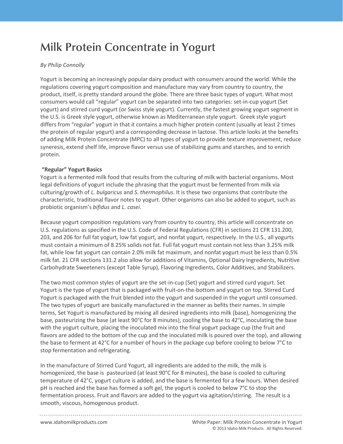# **Milk Protein Concentrate in Yogurt**

# *By Philip Connolly*

**Protein 1996** regulations covering yogurt composition and manufacture may vary from country to country, the regulations covering yogurt composition and manufacture may vary from country, the metal or product itself is pre Yogurt is becoming an increasingly popular dairy product with consumers around the world. While the product, itself, is pretty standard around the globe. There are three basic types of yogurt. What most consumers would call "regular" yogurt can be separated into two categories: set-in-cup yogurt (Set yogurt) and stirred curd yogurt (or Swiss style yogurt). Currently, the fastest growing yogurt segment in the U.S. is Greek style yogurt, otherwise known as Mediterranean style yogurt. Greek style yogurt differs from "regular" yogurt in that it contains a much higher protein content (usually at least 2 times the protein of regular yogurt) and a corresponding decrease in lactose. This article looks at the benefits of adding Milk Protein Concentrate (MPC) to all types of yogurt to provide texture improvement, reduce syneresis, extend shelf life, improve flavor versus use of stabilizing gums and starches, and to enrich protein.

# **"Regular" Yogurt Basics**

Yogurt is a fermented milk food that results from the culturing of milk with bacterial organisms. Most legal definitions of yogurt include the phrasing that the yogurt must be fermented from milk via culturing/growth of *L. bulgaricus* and *S. thermophilus*. It is these two organisms that contribute the characteristic, traditional flavor notes to yogurt. Other organisms can also be added to yogurt, such as probiotic organism's *bifidus* and *L. casei*.

Because yogurt composition regulations vary from country to country, this article will concentrate on U.S. regulations as specified in the U.S. Code of Federal Regulations (CFR) in sections 21 CFR 131.200, 203, and 206 for full fat yogurt, low fat yogurt, and nonfat yogurt, respectively. In the U.S., all yogurts must contain a minimum of 8.25% solids not fat. Full fat yogurt must contain not less than 3.25% milk fat, while low fat yogurt can contain 2.0% milk fat maximum, and nonfat yogurt must be less than 0.5% milk fat. 21 CFR sections 131.2 also allow for additions of Vitamins, Optional Dairy Ingredients, Nutritive Carbohydrate Sweeteners (except Table Syrup), Flavoring Ingredients, Color Additives, and Stabilizers.

The two most common styles of yogurt are the set-in-cup (Set) yogurt and stirred curd yogurt. Set Yogurt is the type of yogurt that is packaged with fruit-on-the-bottom and yogurt on top. Stirred Curd Yogurt is packaged with the fruit blended into the yogurt and suspended in the yogurt until consumed. The two types of yogurt are basically manufactured in the manner as befits their names. In simple terms, Set Yogurt is manufactured by mixing all desired ingredients into milk (base), homogenizing the base, pasteurizing the base (at least 90°C for 8 minutes), cooling the base to 42°C, inoculating the base with the yogurt culture, placing the inoculated mix into the final yogurt package cup (the fruit and flavors are added to the bottom of the cup and the inoculated milk is poured over the top), and allowing the base to ferment at 42°C for a number of hours in the package cup before cooling to below 7°C to stop fermentation and refrigerating.

In the manufacture of Stirred Curd Yogurt, all ingredients are added to the milk, the milk is homogenized, the base is pasteurized (at least 90°C for 8 minutes), the base is cooled to culturing temperature of 42°C, yogurt culture is added, and the base is fermented for a few hours. When desired pH is reached and the base has formed a soft gel, the yogurt is cooled to below 7°C to stop the fermentation process. Fruit and flavors are added to the yogurt via agitation/stirring. The result is a smooth, viscous, homogenous product.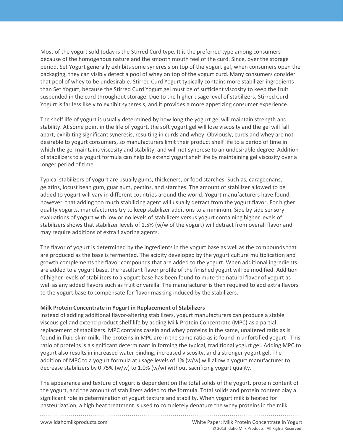than Set Yogurt, because the Stirred Curd Yogurt gel must be of sufficient viscosity to keep the fruit Most of the yogurt sold today is the Stirred Curd type. It is the preferred type among consumers because of the homogenous nature and the smooth mouth feel of the curd. Since, over the storage period, Set Yogurt generally exhibits some syneresis on top of the yogurt gel, when consumers open the packaging, they can visibly detect a pool of whey on top of the yogurt curd. Many consumers consider that pool of whey to be undesirable. Stirred Curd Yogurt typically contains more stabilizer ingredients suspended in the curd throughout storage. Due to the higher usage level of stabilizers, Stirred Curd Yogurt is far less likely to exhibit syneresis, and it provides a more appetizing consumer experience.

The shelf life of yogurt is usually determined by how long the yogurt gel will maintain strength and stability. At some point in the life of yogurt, the soft yogurt gel will lose viscosity and the gel will fall apart, exhibiting significant syneresis, resulting in curds and whey. Obviously, curds and whey are not desirable to yogurt consumers, so manufacturers limit their product shelf life to a period of time in which the gel maintains viscosity and stability, and will not synerese to an undesirable degree. Addition of stabilizers to a yogurt formula can help to extend yogurt shelf life by maintaining gel viscosity over a longer period of time.

Typical stabilizers of yogurt are usually gums, thickeners, or food starches. Such as; carageenans, gelatins, locust bean gum, guar gum, pectins, and starches. The amount of stabilizer allowed to be added to yogurt will vary in different countries around the world. Yogurt manufacturers have found, however, that adding too much stabilizing agent will usually detract from the yogurt flavor. For higher quality yogurts, manufacturers try to keep stabilizer additions to a minimum. Side by side sensory evaluations of yogurt with low or no levels of stabilizers versus yogurt containing higher levels of stabilizers shows that stabilizer levels of 1.5% (w/w of the yogurt) will detract from overall flavor and may require additions of extra flavoring agents.

The flavor of yogurt is determined by the ingredients in the yogurt base as well as the compounds that are produced as the base is fermented. The acidity developed by the yogurt culture multiplication and growth complements the flavor compounds that are added to the yogurt. When additional ingredients are added to a yogurt base, the resultant flavor profile of the finished yogurt will be modified. Addition of higher levels of stabilizers to a yogurt base has been found to mute the natural flavor of yogurt as well as any added flavors such as fruit or vanilla. The manufacturer is then required to add extra flavors to the yogurt base to compensate for flavor masking induced by the stabilizers.

#### **Milk Protein Concentrate in Yogurt in Replacement of Stabilizers**

Instead of adding additional flavor-altering stabilizers, yogurt manufacturers can produce a stable viscous gel and extend product shelf life by adding Milk Protein Concentrate (MPC) as a partial replacement of stabilizers. MPC contains casein and whey proteins in the same, unaltered ratio as is found in fluid skim milk. The proteins in MPC are in the same ratio as is found in unfortified yogurt . This ratio of proteins is a significant determinant in forming the typical, traditional yogurt gel. Adding MPC to yogurt also results in increased water binding, increased viscosity, and a stronger yogurt gel. The addition of MPC to a yogurt formula at usage levels of 1% (w/w) will allow a yogurt manufacturer to decrease stabilizers by 0.75% (w/w) to 1.0% (w/w) without sacrificing yogurt quality.

The appearance and texture of yogurt is dependent on the total solids of the yogurt, protein content of the yogurt, and the amount of stabilizers added to the formula. Total solids and protein content play a significant role in determination of yogurt texture and stability. When yogurt milk is heated for pasteurization, a high heat treatment is used to completely denature the whey proteins in the milk.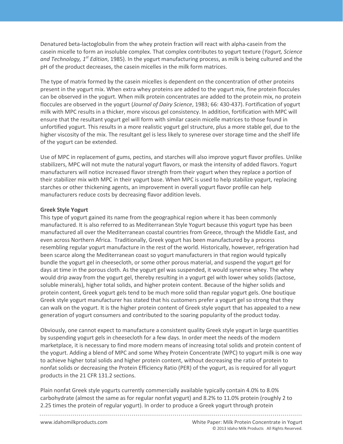Denatured beta-lactoglobulin from the whey protein fraction will react with alpha-casein from the casein micelle to form an insoluble complex. That complex contributes to yogurt texture (*Yogurt, Science and Technology, 1st Edition*, 1985). In the yogurt manufacturing process, as milk is being cultured and the pH of the product decreases, the casein micelles in the milk form matrices.

present in the yogurt mix. When extra whey proteins are added to the yogurt mix, fine protein floccules The type of matrix formed by the casein micelles is dependent on the concentration of other proteins can be observed in the yogurt. When milk protein concentrates are added to the protein mix, no protein floccules are observed in the yogurt (*Journal of Dairy Science*, 1983; 66: 430-437). Fortification of yogurt milk with MPC results in a thicker, more viscous gel consistency. In addition, fortification with MPC will ensure that the resultant yogurt gel will form with similar casein micelle matrices to those found in unfortified yogurt. This results in a more realistic yogurt gel structure, plus a more stable gel, due to the higher viscosity of the mix. The resultant gel is less likely to synerese over storage time and the shelf life of the yogurt can be extended.

Use of MPC in replacement of gums, pectins, and starches will also improve yogurt flavor profiles. Unlike stabilizers, MPC will not mute the natural yogurt flavors, or mask the intensity of added flavors. Yogurt manufacturers will notice increased flavor strength from their yogurt when they replace a portion of their stabilizer mix with MPC in their yogurt base. When MPC is used to help stabilize yogurt, replacing starches or other thickening agents, an improvement in overall yogurt flavor profile can help manufacturers reduce costs by decreasing flavor addition levels.

## **Greek Style Yogurt**

This type of yogurt gained its name from the geographical region where it has been commonly manufactured. It is also referred to as Mediterranean Style Yogurt because this yogurt type has been manufactured all over the Mediterranean coastal countries from Greece, through the Middle East, and even across Northern Africa. Traditionally, Greek yogurt has been manufactured by a process resembling regular yogurt manufacture in the rest of the world. Historically, however, refrigeration had been scarce along the Mediterranean coast so yogurt manufacturers in that region would typically bundle the yogurt gel in cheesecloth, or some other porous material, and suspend the yogurt gel for days at time in the porous cloth. As the yogurt gel was suspended, it would synerese whey. The whey would drip away from the yogurt gel, thereby resulting in a yogurt gel with lower whey solids (lactose, soluble minerals), higher total solids, and higher protein content. Because of the higher solids and protein content, Greek yogurt gels tend to be much more solid than regular yogurt gels. One boutique Greek style yogurt manufacturer has stated that his customers prefer a yogurt gel so strong that they can walk on the yogurt. It is the higher protein content of Greek style yogurt that has appealed to a new generation of yogurt consumers and contributed to the soaring popularity of the product today.

Obviously, one cannot expect to manufacture a consistent quality Greek style yogurt in large quantities by suspending yogurt gels in cheesecloth for a few days. In order meet the needs of the modern marketplace, it is necessary to find more modern means of increasing total solids and protein content of the yogurt. Adding a blend of MPC and some Whey Protein Concentrate (WPC) to yogurt milk is one way to achieve higher total solids and higher protein content, without decreasing the ratio of protein to nonfat solids or decreasing the Protein Efficiency Ratio (PER) of the yogurt, as is required for all yogurt products in the 21 CFR 131.2 sections.

Plain nonfat Greek style yogurts currently commercially available typically contain 4.0% to 8.0% carbohydrate (almost the same as for regular nonfat yogurt) and 8.2% to 11.0% protein (roughly 2 to 2.25 times the protein of regular yogurt). In order to produce a Greek yogurt through protein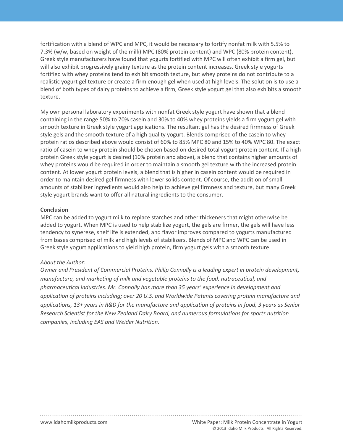**Protein in Yogurt** blend of both types of dairy proteins to achieve a firm, Greek style yogurt gel that also exhibits a smooth fortification with a blend of WPC and MPC, it would be necessary to fortify nonfat milk with 5.5% to 7.3% (w/w, based on weight of the milk) MPC (80% protein content) and WPC (80% protein content). Greek style manufacturers have found that yogurts fortified with MPC will often exhibit a firm gel, but will also exhibit progressively grainy texture as the protein content increases. Greek style yogurts fortified with whey proteins tend to exhibit smooth texture, but whey proteins do not contribute to a realistic yogurt gel texture or create a firm enough gel when used at high levels. The solution is to use a texture.

My own personal laboratory experiments with nonfat Greek style yogurt have shown that a blend containing in the range 50% to 70% casein and 30% to 40% whey proteins yields a firm yogurt gel with smooth texture in Greek style yogurt applications. The resultant gel has the desired firmness of Greek style gels and the smooth texture of a high quality yogurt. Blends comprised of the casein to whey protein ratios described above would consist of 60% to 85% MPC 80 and 15% to 40% WPC 80. The exact ratio of casein to whey protein should be chosen based on desired total yogurt protein content. If a high protein Greek style yogurt is desired (10% protein and above), a blend that contains higher amounts of whey proteins would be required in order to maintain a smooth gel texture with the increased protein content. At lower yogurt protein levels, a blend that is higher in casein content would be required in order to maintain desired gel firmness with lower solids content. Of course, the addition of small amounts of stabilizer ingredients would also help to achieve gel firmness and texture, but many Greek style yogurt brands want to offer all natural ingredients to the consumer.

#### **Conclusion**

MPC can be added to yogurt milk to replace starches and other thickeners that might otherwise be added to yogurt. When MPC is used to help stabilize yogurt, the gels are firmer, the gels will have less tendency to synerese, shelf life is extended, and flavor improves compared to yogurts manufactured from bases comprised of milk and high levels of stabilizers. Blends of MPC and WPC can be used in Greek style yogurt applications to yield high protein, firm yogurt gels with a smooth texture.

## *About the Author:*

*Owner and President of Commercial Proteins, Philip Connolly is a leading expert in protein development, manufacture, and marketing of milk and vegetable proteins to the food, nutraceutical, and pharmaceutical industries. Mr. Connolly has more than 35 years' experience in development and application of proteins including; over 20 U.S. and Worldwide Patents covering protein manufacture and applications, 13+ years in R&D for the manufacture and application of proteins in food, 3 years as Senior Research Scientist for the New Zealand Dairy Board, and numerous formulations for sports nutrition companies, including EAS and Weider Nutrition.*